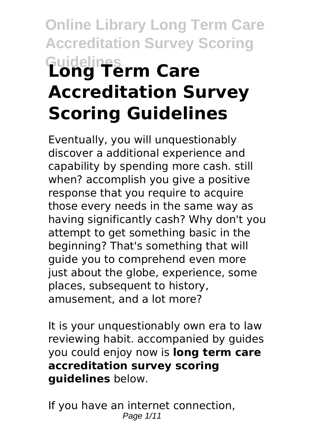# **Online Library Long Term Care Accreditation Survey Scoring Guidelines Long Term Care Accreditation Survey Scoring Guidelines**

Eventually, you will unquestionably discover a additional experience and capability by spending more cash. still when? accomplish you give a positive response that you require to acquire those every needs in the same way as having significantly cash? Why don't you attempt to get something basic in the beginning? That's something that will guide you to comprehend even more just about the globe, experience, some places, subsequent to history, amusement, and a lot more?

It is your unquestionably own era to law reviewing habit. accompanied by guides you could enjoy now is **long term care accreditation survey scoring guidelines** below.

If you have an internet connection, Page 1/11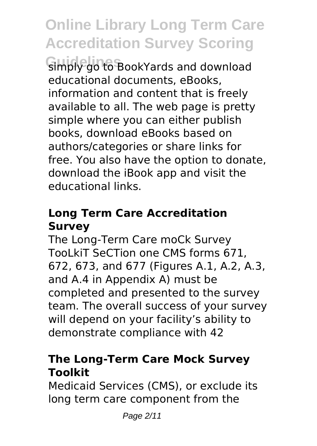**Guidelines** simply go to BookYards and download educational documents, eBooks, information and content that is freely available to all. The web page is pretty simple where you can either publish books, download eBooks based on authors/categories or share links for free. You also have the option to donate, download the iBook app and visit the educational links.

# **Long Term Care Accreditation Survey**

The Long-Term Care moCk Survey TooLkiT SeCTion one CMS forms 671, 672, 673, and 677 (Figures A.1, A.2, A.3, and A.4 in Appendix A) must be completed and presented to the survey team. The overall success of your survey will depend on your facility's ability to demonstrate compliance with 42

# **The Long-Term Care Mock Survey Toolkit**

Medicaid Services (CMS), or exclude its long term care component from the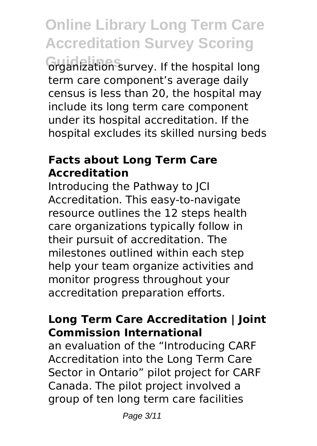**Guidelines** organization survey. If the hospital long term care component's average daily census is less than 20, the hospital may include its long term care component under its hospital accreditation. If the hospital excludes its skilled nursing beds

# **Facts about Long Term Care Accreditation**

Introducing the Pathway to JCI Accreditation. This easy-to-navigate resource outlines the 12 steps health care organizations typically follow in their pursuit of accreditation. The milestones outlined within each step help your team organize activities and monitor progress throughout your accreditation preparation efforts.

# **Long Term Care Accreditation | Joint Commission International**

an evaluation of the "Introducing CARF Accreditation into the Long Term Care Sector in Ontario" pilot project for CARF Canada. The pilot project involved a group of ten long term care facilities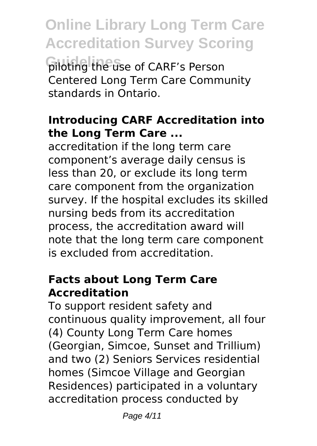**Online Library Long Term Care Accreditation Survey Scoring Guidelines** piloting the use of CARF's Person Centered Long Term Care Community standards in Ontario.

# **Introducing CARF Accreditation into the Long Term Care ...**

accreditation if the long term care component's average daily census is less than 20, or exclude its long term care component from the organization survey. If the hospital excludes its skilled nursing beds from its accreditation process, the accreditation award will note that the long term care component is excluded from accreditation.

#### **Facts about Long Term Care Accreditation**

To support resident safety and continuous quality improvement, all four (4) County Long Term Care homes (Georgian, Simcoe, Sunset and Trillium) and two (2) Seniors Services residential homes (Simcoe Village and Georgian Residences) participated in a voluntary accreditation process conducted by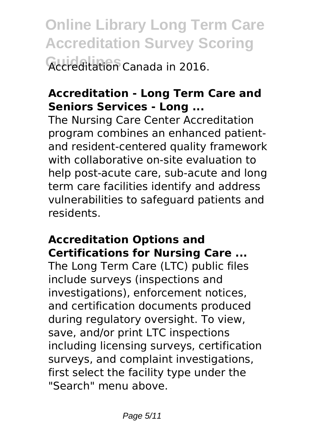**Online Library Long Term Care Accreditation Survey Scoring Guidelines** Accreditation Canada in 2016.

# **Accreditation - Long Term Care and Seniors Services - Long ...**

The Nursing Care Center Accreditation program combines an enhanced patientand resident-centered quality framework with collaborative on-site evaluation to help post-acute care, sub-acute and long term care facilities identify and address vulnerabilities to safeguard patients and residents.

# **Accreditation Options and Certifications for Nursing Care ...**

The Long Term Care (LTC) public files include surveys (inspections and investigations), enforcement notices, and certification documents produced during regulatory oversight. To view, save, and/or print LTC inspections including licensing surveys, certification surveys, and complaint investigations, first select the facility type under the "Search" menu above.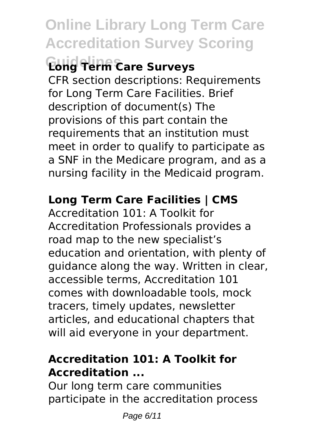# **Guidelines Long Term Care Surveys**

CFR section descriptions: Requirements for Long Term Care Facilities. Brief description of document(s) The provisions of this part contain the requirements that an institution must meet in order to qualify to participate as a SNF in the Medicare program, and as a nursing facility in the Medicaid program.

# **Long Term Care Facilities | CMS**

Accreditation 101: A Toolkit for Accreditation Professionals provides a road map to the new specialist's education and orientation, with plenty of guidance along the way. Written in clear, accessible terms, Accreditation 101 comes with downloadable tools, mock tracers, timely updates, newsletter articles, and educational chapters that will aid everyone in your department.

# **Accreditation 101: A Toolkit for Accreditation ...**

Our long term care communities participate in the accreditation process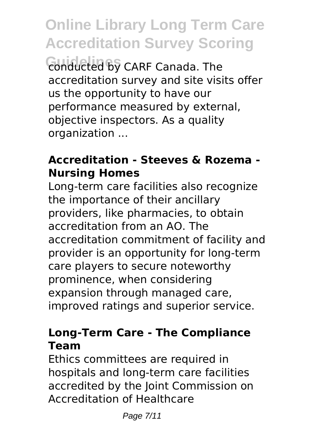**Online Library Long Term Care Accreditation Survey Scoring Guidelines** conducted by CARF Canada. The accreditation survey and site visits offer us the opportunity to have our performance measured by external, objective inspectors. As a quality organization ...

# **Accreditation - Steeves & Rozema - Nursing Homes**

Long-term care facilities also recognize the importance of their ancillary providers, like pharmacies, to obtain accreditation from an AO. The accreditation commitment of facility and provider is an opportunity for long-term care players to secure noteworthy prominence, when considering expansion through managed care, improved ratings and superior service.

# **Long-Term Care - The Compliance Team**

Ethics committees are required in hospitals and long-term care facilities accredited by the Joint Commission on Accreditation of Healthcare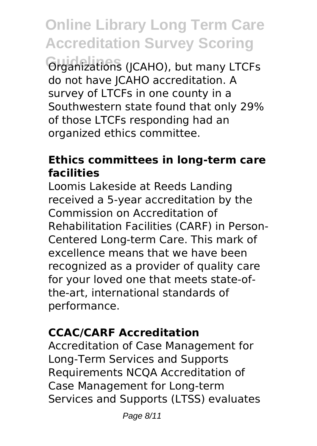**Organizations (JCAHO), but many LTCFs** do not have JCAHO accreditation. A survey of LTCFs in one county in a Southwestern state found that only 29% of those LTCFs responding had an organized ethics committee.

# **Ethics committees in long-term care facilities**

Loomis Lakeside at Reeds Landing received a 5-year accreditation by the Commission on Accreditation of Rehabilitation Facilities (CARF) in Person-Centered Long-term Care. This mark of excellence means that we have been recognized as a provider of quality care for your loved one that meets state-ofthe-art, international standards of performance.

# **CCAC/CARF Accreditation**

Accreditation of Case Management for Long-Term Services and Supports Requirements NCQA Accreditation of Case Management for Long-term Services and Supports (LTSS) evaluates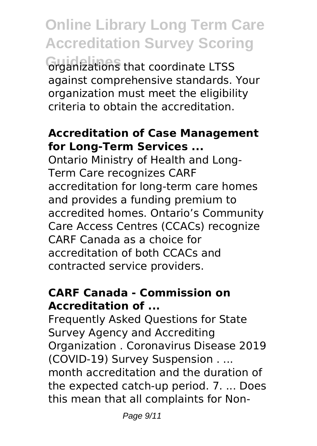**Online Library Long Term Care Accreditation Survey Scoring Guidelines** organizations that coordinate LTSS against comprehensive standards. Your organization must meet the eligibility criteria to obtain the accreditation.

# **Accreditation of Case Management for Long-Term Services ...**

Ontario Ministry of Health and Long-Term Care recognizes CARF accreditation for long-term care homes and provides a funding premium to accredited homes. Ontario's Community Care Access Centres (CCACs) recognize CARF Canada as a choice for accreditation of both CCACs and contracted service providers.

# **CARF Canada - Commission on Accreditation of ...**

Frequently Asked Questions for State Survey Agency and Accrediting Organization . Coronavirus Disease 2019 (COVID-19) Survey Suspension . ... month accreditation and the duration of the expected catch-up period. 7. ... Does this mean that all complaints for Non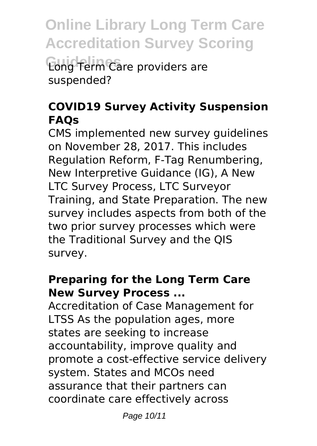**Online Library Long Term Care Accreditation Survey Scoring Guidelines** Long Term Care providers are suspended?

# **COVID19 Survey Activity Suspension FAQs**

CMS implemented new survey guidelines on November 28, 2017. This includes Regulation Reform, F-Tag Renumbering, New Interpretive Guidance (IG), A New LTC Survey Process, LTC Surveyor Training, and State Preparation. The new survey includes aspects from both of the two prior survey processes which were the Traditional Survey and the QIS survey.

# **Preparing for the Long Term Care New Survey Process ...**

Accreditation of Case Management for LTSS As the population ages, more states are seeking to increase accountability, improve quality and promote a cost-effective service delivery system. States and MCOs need assurance that their partners can coordinate care effectively across